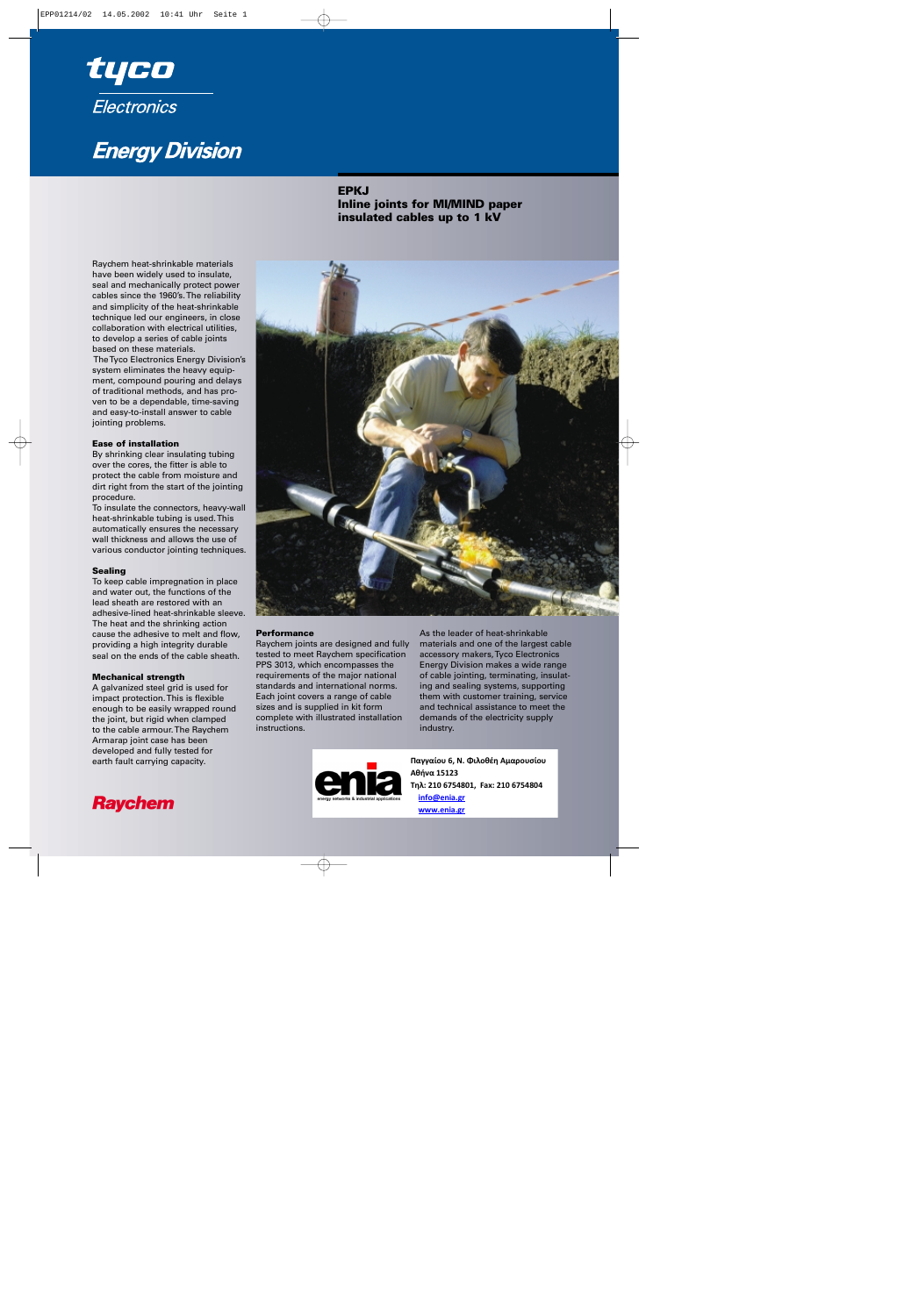

# **Energy Division**

## **EPKJ Inline joints for MI/MIND paper insulated cables up to 1 kV**

Raychem heat-shrinkable materials have been widely used to insulate, seal and mechanically protect power cables since the 1960's. The reliability and simplicity of the heat-shrinkable technique led our engineers, in close collaboration with electrical utilities, to develop a series of cable joints based on these materials.

The Tyco Electronics Energy Division's system eliminates the heavy equipment, compound pouring and delays of traditional methods, and has proven to be a dependable, time-saving and easy-to-install answer to cable jointing problems.

#### **Ease of installation**

By shrinking clear insulating tubing over the cores, the fitter is able to protect the cable from moisture and dirt right from the start of the jointing procedure.

To insulate the connectors, heavy-wall heat-shrinkable tubing is used. This automatically ensures the necessary wall thickness and allows the use of various conductor jointing techniques.

#### **Sealing**

To keep cable impregnation in place and water out, the functions of the lead sheath are restored with an adhesive-lined heat-shrinkable sleeve. The heat and the shrinking action cause the adhesive to melt and flow, providing a high integrity durable seal on the ends of the cable sheath.

#### **Mechanical strength**

A galvanized steel grid is used for impact protection. This is flexible enough to be easily wrapped round the joint, but rigid when clamped to the cable armour. The Raychem Armarap joint case has been developed and fully tested for earth fault carrying capacity.



### **Performance**

Raychem joints are designed and fully tested to meet Raychem specification PPS 3013, which encompasses the requirements of the major national standards and international norms. Each joint covers a range of cable sizes and is supplied in kit form complete with illustrated installation instructions.

As the leader of heat-shrinkable materials and one of the largest cable accessory makers, Tyco Electronics Energy Division makes a wide range of cable jointing, terminating, insulating and sealing systems, supporting them with customer training, service and technical assistance to meet the demands of the electricity supply industry.



**Παγγαίου 6, Ν. Φιλοθέη Αμαρουσίου Αθήνα 15123 Τηλ: 210 6754801, Fax: 210 6754804 info@enia.gr www.enia.gr**